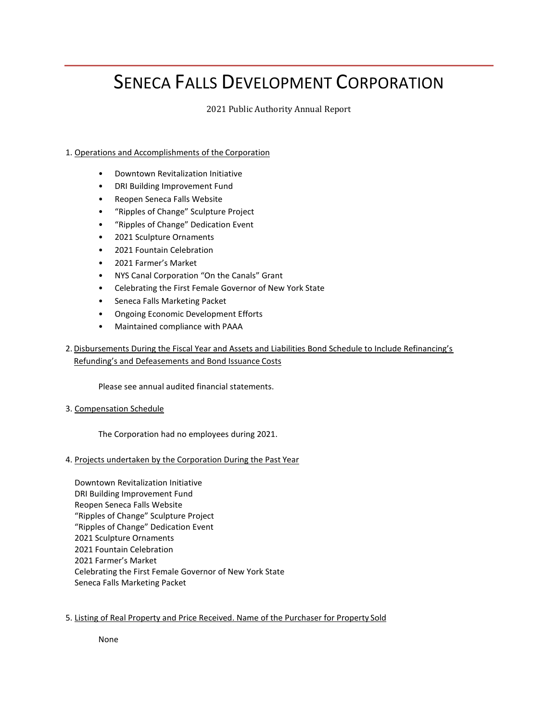# SENECA FALLS DEVELOPMENT CORPORATION

2021 Public Authority Annual Report

# 1. Operations and Accomplishments of the Corporation

- Downtown Revitalization Initiative
- DRI Building Improvement Fund
- Reopen Seneca Falls Website
- "Ripples of Change" Sculpture Project
- "Ripples of Change" Dedication Event
- 2021 Sculpture Ornaments
- 2021 Fountain Celebration
- 2021 Farmer's Market
- NYS Canal Corporation "On the Canals" Grant
- Celebrating the First Female Governor of New York State
- Seneca Falls Marketing Packet
- Ongoing Economic Development Efforts
- Maintained compliance with PAAA

2. Disbursements During the Fiscal Year and Assets and Liabilities Bond Schedule to Include Refinancing's Refunding's and Defeasements and Bond Issuance Costs

Please see annual audited financial statements.

3. Compensation Schedule

The Corporation had no employees during 2021.

# 4. Projects undertaken by the Corporation During the Past Year

Downtown Revitalization Initiative DRI Building Improvement Fund Reopen Seneca Falls Website "Ripples of Change" Sculpture Project "Ripples of Change" Dedication Event 2021 Sculpture Ornaments 2021 Fountain Celebration 2021 Farmer's Market Celebrating the First Female Governor of New York State Seneca Falls Marketing Packet

# 5. Listing of Real Property and Price Received. Name of the Purchaser for Property Sold

None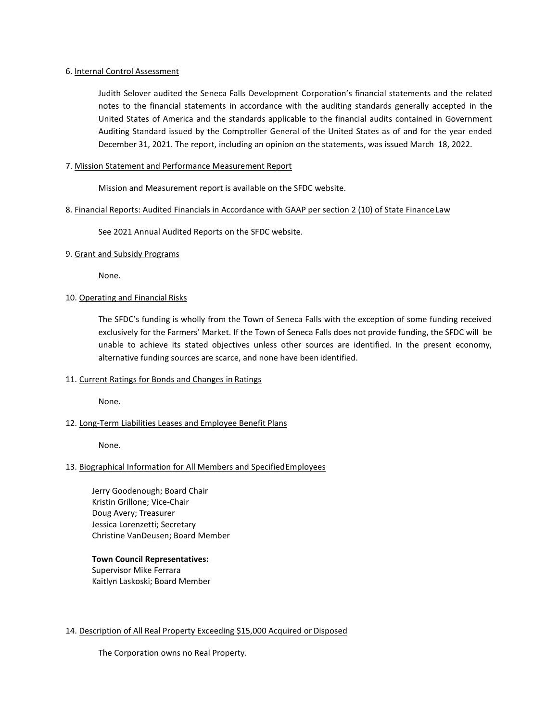#### 6. Internal Control Assessment

Judith Selover audited the Seneca Falls Development Corporation's financial statements and the related notes to the financial statements in accordance with the auditing standards generally accepted in the United States of America and the standards applicable to the financial audits contained in Government Auditing Standard issued by the Comptroller General of the United States as of and for the year ended December 31, 2021. The report, including an opinion on the statements, was issued March 18, 2022.

### 7. Mission Statement and Performance Measurement Report

Mission and Measurement report is available on the SFDC website.

#### 8. Financial Reports: Audited Financials in Accordance with GAAP per section 2 (10) of State Finance Law

See 2021 Annual Audited Reports on the SFDC website.

9. Grant and Subsidy Programs

None.

# 10. Operating and Financial Risks

The SFDC's funding is wholly from the Town of Seneca Falls with the exception of some funding received exclusively for the Farmers' Market. If the Town of Seneca Falls does not provide funding, the SFDC will be unable to achieve its stated objectives unless other sources are identified. In the present economy, alternative funding sources are scarce, and none have been identified.

# 11. Current Ratings for Bonds and Changes in Ratings

None.

# 12. Long-Term Liabilities Leases and Employee Benefit Plans

None.

# 13. Biographical Information for All Members and SpecifiedEmployees

Jerry Goodenough; Board Chair Kristin Grillone; Vice-Chair Doug Avery; Treasurer Jessica Lorenzetti; Secretary Christine VanDeusen; Board Member

# **Town Council Representatives:**

Supervisor Mike Ferrara Kaitlyn Laskoski; Board Member

### 14. Description of All Real Property Exceeding \$15,000 Acquired or Disposed

The Corporation owns no Real Property.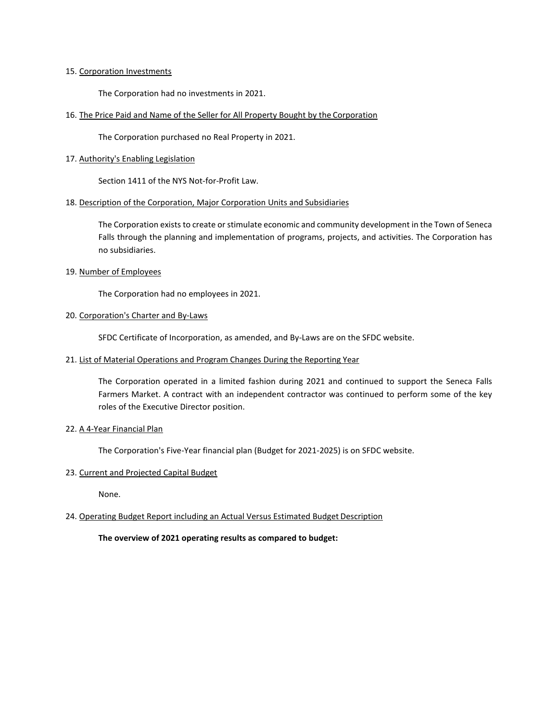#### 15. Corporation Investments

The Corporation had no investments in 2021.

16. The Price Paid and Name of the Seller for All Property Bought by the Corporation

The Corporation purchased no Real Property in 2021.

#### 17. Authority's Enabling Legislation

Section 1411 of the NYS Not-for-Profit Law.

#### 18. Description of the Corporation, Major Corporation Units and Subsidiaries

The Corporation exists to create or stimulate economic and community development in the Town of Seneca Falls through the planning and implementation of programs, projects, and activities. The Corporation has no subsidiaries.

### 19. Number of Employees

The Corporation had no employees in 2021.

# 20. Corporation's Charter and By-Laws

SFDC Certificate of Incorporation, as amended, and By-Laws are on the SFDC website.

21. List of Material Operations and Program Changes During the Reporting Year

The Corporation operated in a limited fashion during 2021 and continued to support the Seneca Falls Farmers Market. A contract with an independent contractor was continued to perform some of the key roles of the Executive Director position.

#### 22. A 4-Year Financial Plan

The Corporation's Five-Year financial plan (Budget for 2021-2025) is on SFDC website.

#### 23. Current and Projected Capital Budget

None.

# 24. Operating Budget Report including an Actual Versus Estimated Budget Description

**The overview of 2021 operating results as compared to budget:**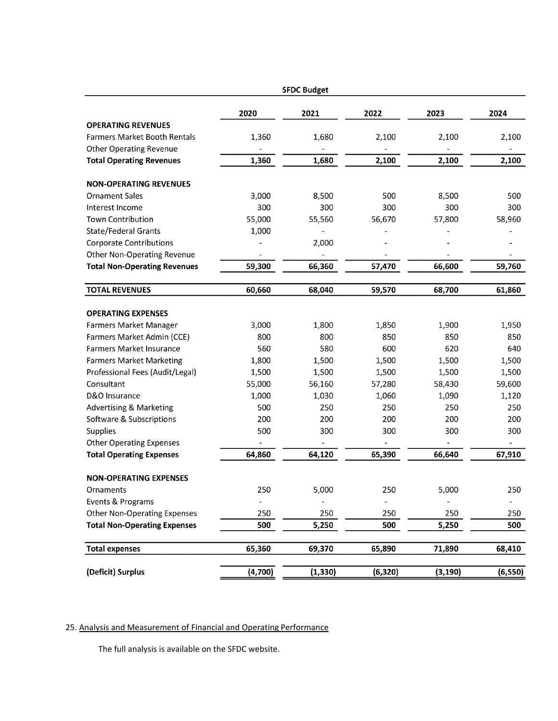| <b>SFDC Budget</b>                  |         |          |          |          |          |
|-------------------------------------|---------|----------|----------|----------|----------|
|                                     | 2020    | 2021     | 2022     | 2023     | 2024     |
| <b>OPERATING REVENUES</b>           |         |          |          |          |          |
| <b>Farmers Market Booth Rentals</b> | 1,360   | 1,680    | 2,100    | 2,100    | 2,100    |
| <b>Other Operating Revenue</b>      |         |          |          |          |          |
| <b>Total Operating Revenues</b>     | 1,360   | 1,680    | 2,100    | 2,100    | 2,100    |
| <b>NON-OPERATING REVENUES</b>       |         |          |          |          |          |
| <b>Ornament Sales</b>               | 3,000   | 8,500    | 500      | 8,500    | 500      |
| Interest Income                     | 300     | 300      | 300      | 300      | 300      |
| <b>Town Contribution</b>            | 55,000  | 55,560   | 56,670   | 57,800   | 58,960   |
| State/Federal Grants                | 1,000   |          |          |          |          |
| <b>Corporate Contributions</b>      |         | 2,000    |          |          |          |
| Other Non-Operating Revenue         |         |          |          |          |          |
| <b>Total Non-Operating Revenues</b> | 59,300  | 66,360   | 57,470   | 66,600   | 59,760   |
| <b>TOTAL REVENUES</b>               | 60,660  | 68,040   | 59,570   | 68,700   | 61,860   |
|                                     |         |          |          |          |          |
| <b>OPERATING EXPENSES</b>           |         |          |          |          |          |
| <b>Farmers Market Manager</b>       | 3,000   | 1,800    | 1,850    | 1,900    | 1,950    |
| Farmers Market Admin (CCE)          | 800     | 800      | 850      | 850      | 850      |
| <b>Farmers Market Insurance</b>     | 560     | 580      | 600      | 620      | 640      |
| <b>Farmers Market Marketing</b>     | 1,800   | 1,500    | 1,500    | 1,500    | 1,500    |
| Professional Fees (Audit/Legal)     | 1,500   | 1,500    | 1,500    | 1,500    | 1,500    |
| Consultant                          | 55,000  | 56,160   | 57,280   | 58,430   | 59,600   |
| D&O Insurance                       | 1,000   | 1,030    | 1,060    | 1,090    | 1,120    |
| <b>Advertising &amp; Marketing</b>  | 500     | 250      | 250      | 250      | 250      |
| Software & Subscriptions            | 200     | 200      | 200      | 200      | 200      |
| Supplies                            | 500     | 300      | 300      | 300      | 300      |
| <b>Other Operating Expenses</b>     |         |          |          |          |          |
| <b>Total Operating Expenses</b>     | 64,860  | 64,120   | 65,390   | 66,640   | 67,910   |
| <b>NON-OPERATING EXPENSES</b>       |         |          |          |          |          |
| Ornaments                           | 250     | 5,000    | 250      | 5,000    | 250      |
| Events & Programs                   |         |          |          |          |          |
| <b>Other Non-Operating Expenses</b> | 250     | 250      | 250      | 250      | 250      |
| <b>Total Non-Operating Expenses</b> | 500     | 5,250    | 500      | 5,250    | 500      |
| <b>Total expenses</b>               | 65,360  | 69,370   | 65,890   | 71,890   | 68,410   |
|                                     |         |          |          |          |          |
| (Deficit) Surplus                   | (4,700) | (1, 330) | (6, 320) | (3, 190) | (6, 550) |

# 25. Analysis and Measurement of Financial and Operating Performance

The full analysis is available on the SFDC website.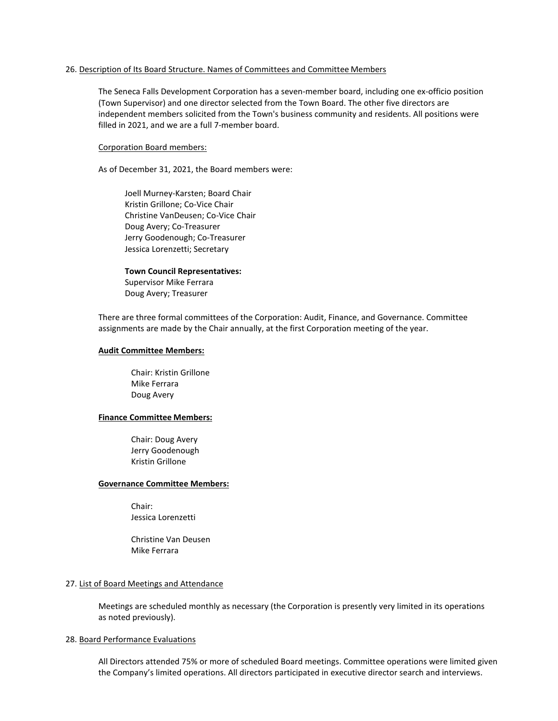#### 26. Description of Its Board Structure. Names of Committees and Committee Members

The Seneca Falls Development Corporation has a seven-member board, including one ex-officio position (Town Supervisor) and one director selected from the Town Board. The other five directors are independent members solicited from the Town's business community and residents. All positions were filled in 2021, and we are a full 7-member board.

#### Corporation Board members:

As of December 31, 2021, the Board members were:

Joell Murney-Karsten; Board Chair Kristin Grillone; Co-Vice Chair Christine VanDeusen; Co-Vice Chair Doug Avery; Co-Treasurer Jerry Goodenough; Co-Treasurer Jessica Lorenzetti; Secretary

#### **Town Council Representatives:**

Supervisor Mike Ferrara Doug Avery; Treasurer

There are three formal committees of the Corporation: Audit, Finance, and Governance. Committee assignments are made by the Chair annually, at the first Corporation meeting of the year.

#### **Audit Committee Members:**

Chair: Kristin Grillone Mike Ferrara Doug Avery

#### **Finance Committee Members:**

Chair: Doug Avery Jerry Goodenough Kristin Grillone

#### **Governance Committee Members:**

Chair: Jessica Lorenzetti

Christine Van Deusen Mike Ferrara

#### 27. List of Board Meetings and Attendance

Meetings are scheduled monthly as necessary (the Corporation is presently very limited in its operations as noted previously).

#### 28. Board Performance Evaluations

All Directors attended 75% or more of scheduled Board meetings. Committee operations were limited given the Company's limited operations. All directors participated in executive director search and interviews.